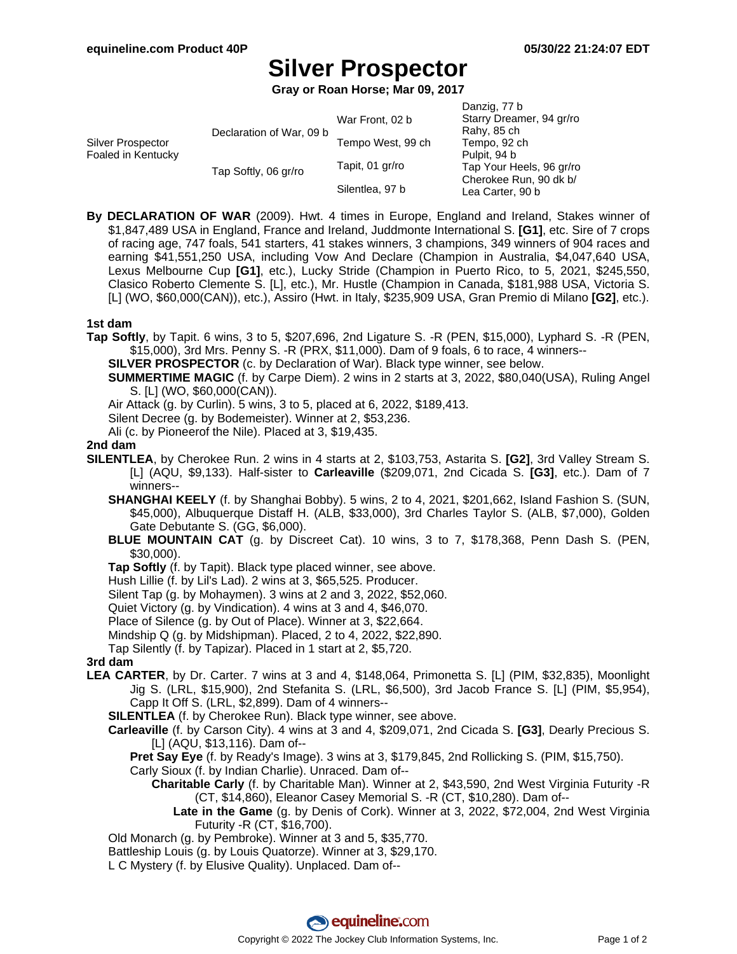# **Silver Prospector**

**Gray or Roan Horse; Mar 09, 2017**

| Silver Prospector<br>Foaled in Kentucky | Declaration of War, 09 b | War Front, 02 b   | Danzig, 77 b<br>Starry Dreamer, 94 gr/ro<br>Rahy, 85 ch |
|-----------------------------------------|--------------------------|-------------------|---------------------------------------------------------|
|                                         |                          | Tempo West, 99 ch | Tempo, 92 ch                                            |
|                                         | Tap Softly, 06 gr/ro     |                   | Pulpit, 94 b                                            |
|                                         |                          | Tapit, 01 gr/ro   | Tap Your Heels, 96 gr/ro                                |
|                                         |                          | Silentlea, 97 b   | Cherokee Run, 90 dk b/<br>Lea Carter, 90 b              |

**By DECLARATION OF WAR** (2009). Hwt. 4 times in Europe, England and Ireland, Stakes winner of \$1,847,489 USA in England, France and Ireland, Juddmonte International S. **[G1]**, etc. Sire of 7 crops of racing age, 747 foals, 541 starters, 41 stakes winners, 3 champions, 349 winners of 904 races and earning \$41,551,250 USA, including Vow And Declare (Champion in Australia, \$4,047,640 USA, Lexus Melbourne Cup **[G1]**, etc.), Lucky Stride (Champion in Puerto Rico, to 5, 2021, \$245,550, Clasico Roberto Clemente S. [L], etc.), Mr. Hustle (Champion in Canada, \$181,988 USA, Victoria S. [L] (WO, \$60,000(CAN)), etc.), Assiro (Hwt. in Italy, \$235,909 USA, Gran Premio di Milano **[G2]**, etc.).

## **1st dam**

**Tap Softly**, by Tapit. 6 wins, 3 to 5, \$207,696, 2nd Ligature S. -R (PEN, \$15,000), Lyphard S. -R (PEN, \$15,000), 3rd Mrs. Penny S. -R (PRX, \$11,000). Dam of 9 foals, 6 to race, 4 winners--

**SILVER PROSPECTOR** (c. by Declaration of War). Black type winner, see below.

**SUMMERTIME MAGIC** (f. by Carpe Diem). 2 wins in 2 starts at 3, 2022, \$80,040(USA), Ruling Angel S. [L] (WO, \$60,000(CAN)).

Air Attack (g. by Curlin). 5 wins, 3 to 5, placed at 6, 2022, \$189,413.

Silent Decree (g. by Bodemeister). Winner at 2, \$53,236.

Ali (c. by Pioneerof the Nile). Placed at 3, \$19,435.

#### **2nd dam**

**SILENTLEA**, by Cherokee Run. 2 wins in 4 starts at 2, \$103,753, Astarita S. **[G2]**, 3rd Valley Stream S. [L] (AQU, \$9,133). Half-sister to **Carleaville** (\$209,071, 2nd Cicada S. **[G3]**, etc.). Dam of 7 winners--

**SHANGHAI KEELY** (f. by Shanghai Bobby). 5 wins, 2 to 4, 2021, \$201,662, Island Fashion S. (SUN, \$45,000), Albuquerque Distaff H. (ALB, \$33,000), 3rd Charles Taylor S. (ALB, \$7,000), Golden Gate Debutante S. (GG, \$6,000).

**BLUE MOUNTAIN CAT** (g. by Discreet Cat). 10 wins, 3 to 7, \$178,368, Penn Dash S. (PEN, \$30,000).

**Tap Softly** (f. by Tapit). Black type placed winner, see above.

Hush Lillie (f. by Lil's Lad). 2 wins at 3, \$65,525. Producer.

Silent Tap (g. by Mohaymen). 3 wins at 2 and 3, 2022, \$52,060.

Quiet Victory (g. by Vindication). 4 wins at 3 and 4, \$46,070.

Place of Silence (g. by Out of Place). Winner at 3, \$22,664.

Mindship Q (g. by Midshipman). Placed, 2 to 4, 2022, \$22,890.

Tap Silently (f. by Tapizar). Placed in 1 start at 2, \$5,720.

## **3rd dam**

**LEA CARTER**, by Dr. Carter. 7 wins at 3 and 4, \$148,064, Primonetta S. [L] (PIM, \$32,835), Moonlight Jig S. (LRL, \$15,900), 2nd Stefanita S. (LRL, \$6,500), 3rd Jacob France S. [L] (PIM, \$5,954), Capp It Off S. (LRL, \$2,899). Dam of 4 winners--

**SILENTLEA** (f. by Cherokee Run). Black type winner, see above.

**Carleaville** (f. by Carson City). 4 wins at 3 and 4, \$209,071, 2nd Cicada S. **[G3]**, Dearly Precious S. [L] (AQU, \$13,116). Dam of--

**Pret Say Eye** (f. by Ready's Image). 3 wins at 3, \$179,845, 2nd Rollicking S. (PIM, \$15,750).

Carly Sioux (f. by Indian Charlie). Unraced. Dam of--

- **Charitable Carly** (f. by Charitable Man). Winner at 2, \$43,590, 2nd West Virginia Futurity -R (CT, \$14,860), Eleanor Casey Memorial S. -R (CT, \$10,280). Dam of--
	- **Late in the Game** (g. by Denis of Cork). Winner at 3, 2022, \$72,004, 2nd West Virginia Futurity -R (CT, \$16,700).

Old Monarch (g. by Pembroke). Winner at 3 and 5, \$35,770.

Battleship Louis (g. by Louis Quatorze). Winner at 3, \$29,170.

L C Mystery (f. by Elusive Quality). Unplaced. Dam of--